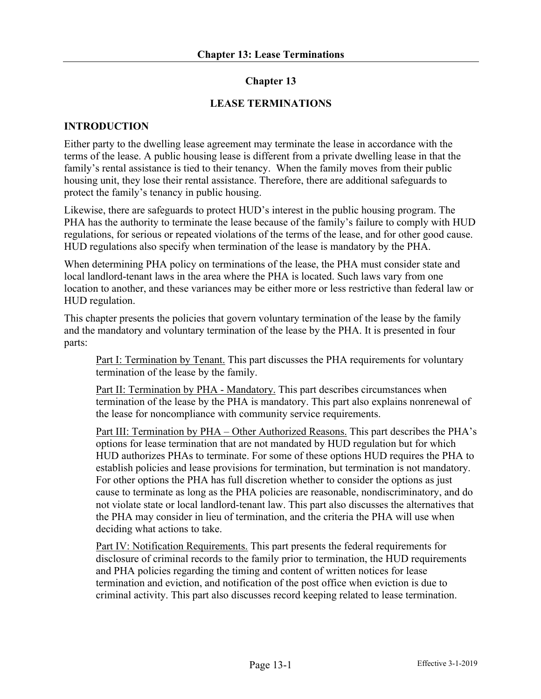### **Chapter 13**

#### **LEASE TERMINATIONS**

#### **INTRODUCTION**

Either party to the dwelling lease agreement may terminate the lease in accordance with the terms of the lease. A public housing lease is different from a private dwelling lease in that the family's rental assistance is tied to their tenancy. When the family moves from their public housing unit, they lose their rental assistance. Therefore, there are additional safeguards to protect the family's tenancy in public housing.

Likewise, there are safeguards to protect HUD's interest in the public housing program. The PHA has the authority to terminate the lease because of the family's failure to comply with HUD regulations, for serious or repeated violations of the terms of the lease, and for other good cause. HUD regulations also specify when termination of the lease is mandatory by the PHA.

When determining PHA policy on terminations of the lease, the PHA must consider state and local landlord-tenant laws in the area where the PHA is located. Such laws vary from one location to another, and these variances may be either more or less restrictive than federal law or HUD regulation.

This chapter presents the policies that govern voluntary termination of the lease by the family and the mandatory and voluntary termination of the lease by the PHA. It is presented in four parts:

Part I: Termination by Tenant. This part discusses the PHA requirements for voluntary termination of the lease by the family.

Part II: Termination by PHA - Mandatory. This part describes circumstances when termination of the lease by the PHA is mandatory. This part also explains nonrenewal of the lease for noncompliance with community service requirements.

Part III: Termination by PHA – Other Authorized Reasons. This part describes the PHA's options for lease termination that are not mandated by HUD regulation but for which HUD authorizes PHAs to terminate. For some of these options HUD requires the PHA to establish policies and lease provisions for termination, but termination is not mandatory. For other options the PHA has full discretion whether to consider the options as just cause to terminate as long as the PHA policies are reasonable, nondiscriminatory, and do not violate state or local landlord-tenant law. This part also discusses the alternatives that the PHA may consider in lieu of termination, and the criteria the PHA will use when deciding what actions to take.

Part IV: Notification Requirements. This part presents the federal requirements for disclosure of criminal records to the family prior to termination, the HUD requirements and PHA policies regarding the timing and content of written notices for lease termination and eviction, and notification of the post office when eviction is due to criminal activity. This part also discusses record keeping related to lease termination.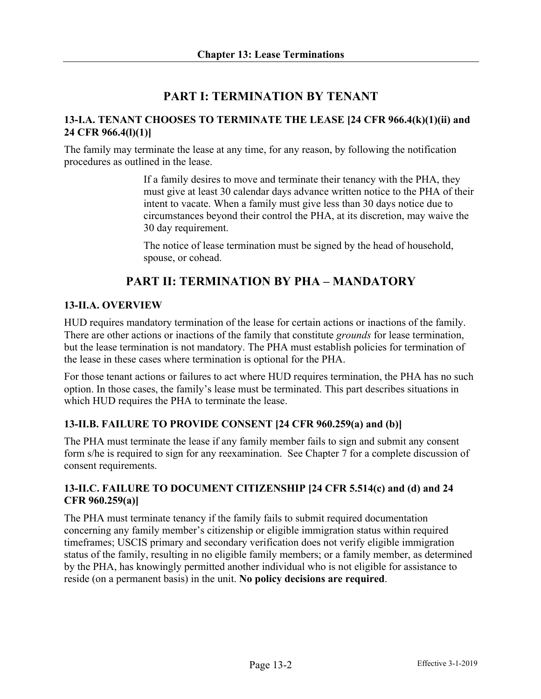# **PART I: TERMINATION BY TENANT**

## **13-I.A. TENANT CHOOSES TO TERMINATE THE LEASE [24 CFR 966.4(k)(1)(ii) and 24 CFR 966.4(l)(1)]**

The family may terminate the lease at any time, for any reason, by following the notification procedures as outlined in the lease.

> If a family desires to move and terminate their tenancy with the PHA, they must give at least 30 calendar days advance written notice to the PHA of their intent to vacate. When a family must give less than 30 days notice due to circumstances beyond their control the PHA, at its discretion, may waive the 30 day requirement.

The notice of lease termination must be signed by the head of household, spouse, or cohead.

# **PART II: TERMINATION BY PHA – MANDATORY**

## **13-II.A. OVERVIEW**

HUD requires mandatory termination of the lease for certain actions or inactions of the family. There are other actions or inactions of the family that constitute *grounds* for lease termination, but the lease termination is not mandatory. The PHA must establish policies for termination of the lease in these cases where termination is optional for the PHA.

For those tenant actions or failures to act where HUD requires termination, the PHA has no such option. In those cases, the family's lease must be terminated. This part describes situations in which HUD requires the PHA to terminate the lease.

## **13-II.B. FAILURE TO PROVIDE CONSENT [24 CFR 960.259(a) and (b)]**

The PHA must terminate the lease if any family member fails to sign and submit any consent form s/he is required to sign for any reexamination. See Chapter 7 for a complete discussion of consent requirements.

## **13-II.C. FAILURE TO DOCUMENT CITIZENSHIP [24 CFR 5.514(c) and (d) and 24 CFR 960.259(a)]**

The PHA must terminate tenancy if the family fails to submit required documentation concerning any family member's citizenship or eligible immigration status within required timeframes; USCIS primary and secondary verification does not verify eligible immigration status of the family, resulting in no eligible family members; or a family member, as determined by the PHA, has knowingly permitted another individual who is not eligible for assistance to reside (on a permanent basis) in the unit. **No policy decisions are required**.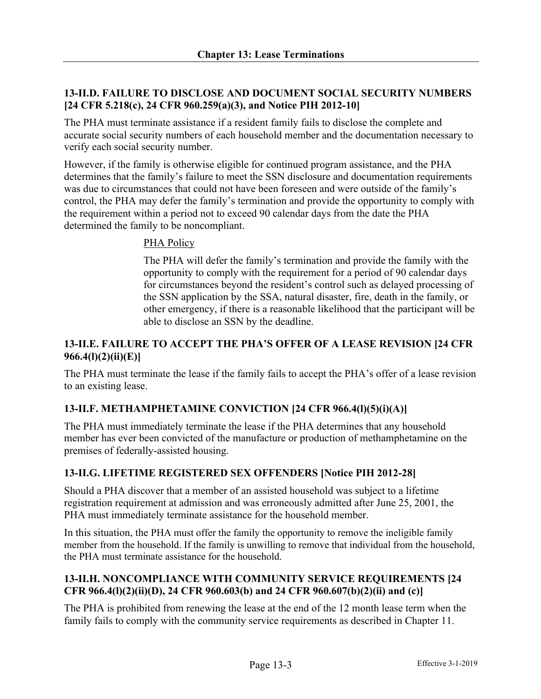## **13-II.D. FAILURE TO DISCLOSE AND DOCUMENT SOCIAL SECURITY NUMBERS [24 CFR 5.218(c), 24 CFR 960.259(a)(3), and Notice PIH 2012-10]**

The PHA must terminate assistance if a resident family fails to disclose the complete and accurate social security numbers of each household member and the documentation necessary to verify each social security number.

However, if the family is otherwise eligible for continued program assistance, and the PHA determines that the family's failure to meet the SSN disclosure and documentation requirements was due to circumstances that could not have been foreseen and were outside of the family's control, the PHA may defer the family's termination and provide the opportunity to comply with the requirement within a period not to exceed 90 calendar days from the date the PHA determined the family to be noncompliant.

## PHA Policy

The PHA will defer the family's termination and provide the family with the opportunity to comply with the requirement for a period of 90 calendar days for circumstances beyond the resident's control such as delayed processing of the SSN application by the SSA, natural disaster, fire, death in the family, or other emergency, if there is a reasonable likelihood that the participant will be able to disclose an SSN by the deadline.

### **13-II.E. FAILURE TO ACCEPT THE PHA'S OFFER OF A LEASE REVISION [24 CFR 966.4(l)(2)(ii)(E)]**

The PHA must terminate the lease if the family fails to accept the PHA's offer of a lease revision to an existing lease.

## **13-II.F. METHAMPHETAMINE CONVICTION [24 CFR 966.4(l)(5)(i)(A)]**

The PHA must immediately terminate the lease if the PHA determines that any household member has ever been convicted of the manufacture or production of methamphetamine on the premises of federally-assisted housing.

## **13-II.G. LIFETIME REGISTERED SEX OFFENDERS [Notice PIH 2012-28]**

Should a PHA discover that a member of an assisted household was subject to a lifetime registration requirement at admission and was erroneously admitted after June 25, 2001, the PHA must immediately terminate assistance for the household member.

In this situation, the PHA must offer the family the opportunity to remove the ineligible family member from the household. If the family is unwilling to remove that individual from the household, the PHA must terminate assistance for the household.

# **13-II.H. NONCOMPLIANCE WITH COMMUNITY SERVICE REQUIREMENTS [24 CFR 966.4(l)(2)(ii)(D), 24 CFR 960.603(b) and 24 CFR 960.607(b)(2)(ii) and (c)]**

The PHA is prohibited from renewing the lease at the end of the 12 month lease term when the family fails to comply with the community service requirements as described in Chapter 11.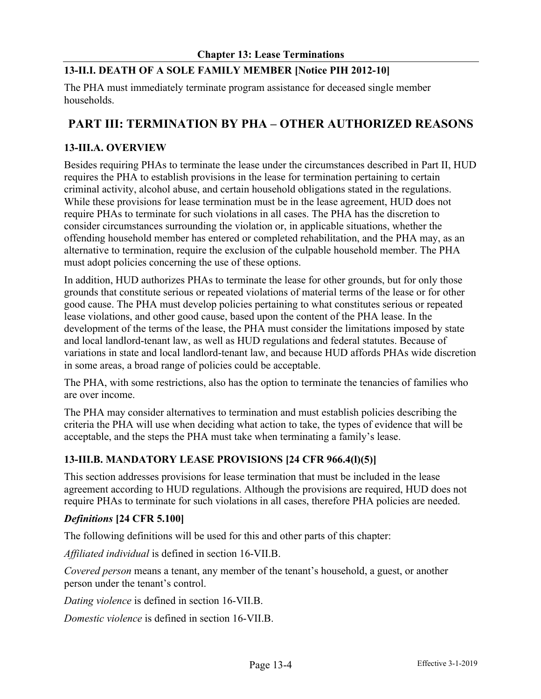# **13-II.I. DEATH OF A SOLE FAMILY MEMBER [Notice PIH 2012-10]**

The PHA must immediately terminate program assistance for deceased single member households.

# **PART III: TERMINATION BY PHA – OTHER AUTHORIZED REASONS**

## **13-III.A. OVERVIEW**

Besides requiring PHAs to terminate the lease under the circumstances described in Part II, HUD requires the PHA to establish provisions in the lease for termination pertaining to certain criminal activity, alcohol abuse, and certain household obligations stated in the regulations. While these provisions for lease termination must be in the lease agreement, HUD does not require PHAs to terminate for such violations in all cases. The PHA has the discretion to consider circumstances surrounding the violation or, in applicable situations, whether the offending household member has entered or completed rehabilitation, and the PHA may, as an alternative to termination, require the exclusion of the culpable household member. The PHA must adopt policies concerning the use of these options.

In addition, HUD authorizes PHAs to terminate the lease for other grounds, but for only those grounds that constitute serious or repeated violations of material terms of the lease or for other good cause. The PHA must develop policies pertaining to what constitutes serious or repeated lease violations, and other good cause, based upon the content of the PHA lease. In the development of the terms of the lease, the PHA must consider the limitations imposed by state and local landlord-tenant law, as well as HUD regulations and federal statutes. Because of variations in state and local landlord-tenant law, and because HUD affords PHAs wide discretion in some areas, a broad range of policies could be acceptable.

The PHA, with some restrictions, also has the option to terminate the tenancies of families who are over income.

The PHA may consider alternatives to termination and must establish policies describing the criteria the PHA will use when deciding what action to take, the types of evidence that will be acceptable, and the steps the PHA must take when terminating a family's lease.

## **13-III.B. MANDATORY LEASE PROVISIONS [24 CFR 966.4(l)(5)]**

This section addresses provisions for lease termination that must be included in the lease agreement according to HUD regulations. Although the provisions are required, HUD does not require PHAs to terminate for such violations in all cases, therefore PHA policies are needed.

## *Definitions* **[24 CFR 5.100]**

The following definitions will be used for this and other parts of this chapter:

*Affiliated individual* is defined in section 16-VII.B.

*Covered person* means a tenant, any member of the tenant's household, a guest, or another person under the tenant's control.

*Dating violence* is defined in section 16-VII.B.

*Domestic violence* is defined in section 16-VII.B.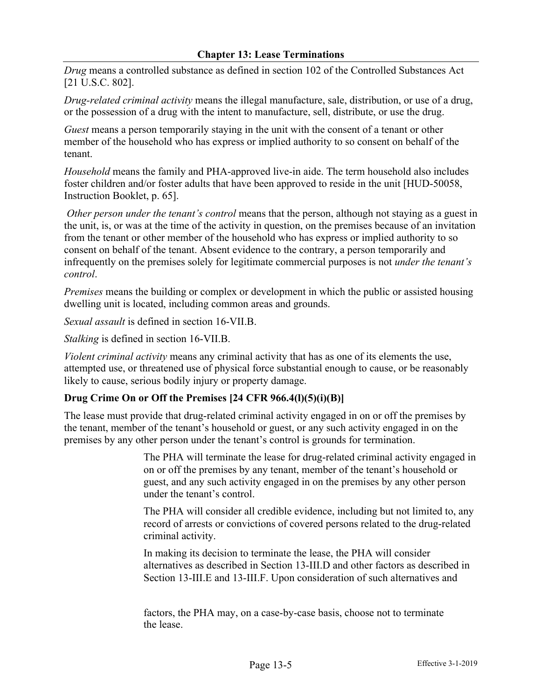*Drug* means a controlled substance as defined in section 102 of the Controlled Substances Act [21 U.S.C. 802].

*Drug-related criminal activity* means the illegal manufacture, sale, distribution, or use of a drug, or the possession of a drug with the intent to manufacture, sell, distribute, or use the drug.

*Guest* means a person temporarily staying in the unit with the consent of a tenant or other member of the household who has express or implied authority to so consent on behalf of the tenant.

*Household* means the family and PHA-approved live-in aide. The term household also includes foster children and/or foster adults that have been approved to reside in the unit [HUD-50058, Instruction Booklet, p. 65].

*Other person under the tenant's control* means that the person, although not staying as a guest in the unit, is, or was at the time of the activity in question, on the premises because of an invitation from the tenant or other member of the household who has express or implied authority to so consent on behalf of the tenant. Absent evidence to the contrary, a person temporarily and infrequently on the premises solely for legitimate commercial purposes is not *under the tenant's control*.

*Premises* means the building or complex or development in which the public or assisted housing dwelling unit is located, including common areas and grounds.

*Sexual assault* is defined in section 16-VII.B.

*Stalking* is defined in section 16-VII.B.

*Violent criminal activity* means any criminal activity that has as one of its elements the use, attempted use, or threatened use of physical force substantial enough to cause, or be reasonably likely to cause, serious bodily injury or property damage.

# **Drug Crime On or Off the Premises [24 CFR 966.4(l)(5)(i)(B)]**

The lease must provide that drug-related criminal activity engaged in on or off the premises by the tenant, member of the tenant's household or guest, or any such activity engaged in on the premises by any other person under the tenant's control is grounds for termination.

> The PHA will terminate the lease for drug-related criminal activity engaged in on or off the premises by any tenant, member of the tenant's household or guest, and any such activity engaged in on the premises by any other person under the tenant's control.

> The PHA will consider all credible evidence, including but not limited to, any record of arrests or convictions of covered persons related to the drug-related criminal activity.

> In making its decision to terminate the lease, the PHA will consider alternatives as described in Section 13-III.D and other factors as described in Section 13-III.E and 13-III.F. Upon consideration of such alternatives and

factors, the PHA may, on a case-by-case basis, choose not to terminate the lease.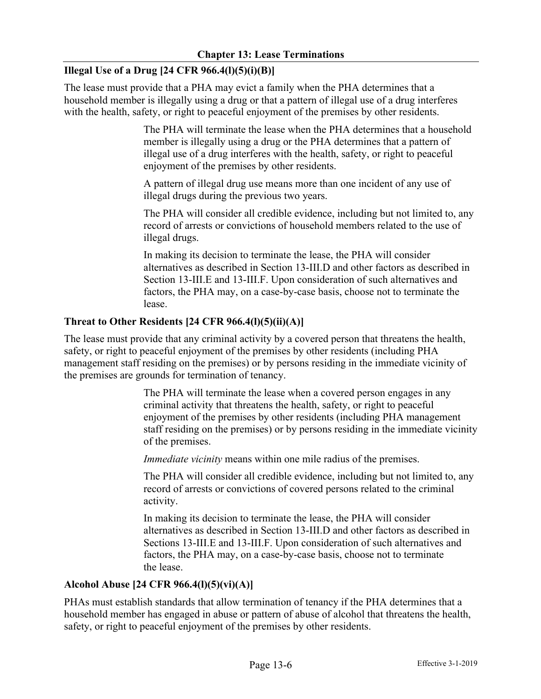# **Illegal Use of a Drug [24 CFR 966.4(l)(5)(i)(B)]**

The lease must provide that a PHA may evict a family when the PHA determines that a household member is illegally using a drug or that a pattern of illegal use of a drug interferes with the health, safety, or right to peaceful enjoyment of the premises by other residents.

> The PHA will terminate the lease when the PHA determines that a household member is illegally using a drug or the PHA determines that a pattern of illegal use of a drug interferes with the health, safety, or right to peaceful enjoyment of the premises by other residents.

A pattern of illegal drug use means more than one incident of any use of illegal drugs during the previous two years.

The PHA will consider all credible evidence, including but not limited to, any record of arrests or convictions of household members related to the use of illegal drugs.

In making its decision to terminate the lease, the PHA will consider alternatives as described in Section 13-III.D and other factors as described in Section 13-III.E and 13-III.F. Upon consideration of such alternatives and factors, the PHA may, on a case-by-case basis, choose not to terminate the lease.

#### **Threat to Other Residents [24 CFR 966.4(l)(5)(ii)(A)]**

The lease must provide that any criminal activity by a covered person that threatens the health, safety, or right to peaceful enjoyment of the premises by other residents (including PHA management staff residing on the premises) or by persons residing in the immediate vicinity of the premises are grounds for termination of tenancy.

> The PHA will terminate the lease when a covered person engages in any criminal activity that threatens the health, safety, or right to peaceful enjoyment of the premises by other residents (including PHA management staff residing on the premises) or by persons residing in the immediate vicinity of the premises.

*Immediate vicinity* means within one mile radius of the premises.

The PHA will consider all credible evidence, including but not limited to, any record of arrests or convictions of covered persons related to the criminal activity.

In making its decision to terminate the lease, the PHA will consider alternatives as described in Section 13-III.D and other factors as described in Sections 13-III.E and 13-III.F. Upon consideration of such alternatives and factors, the PHA may, on a case-by-case basis, choose not to terminate the lease.

# **Alcohol Abuse [24 CFR 966.4(l)(5)(vi)(A)]**

PHAs must establish standards that allow termination of tenancy if the PHA determines that a household member has engaged in abuse or pattern of abuse of alcohol that threatens the health, safety, or right to peaceful enjoyment of the premises by other residents.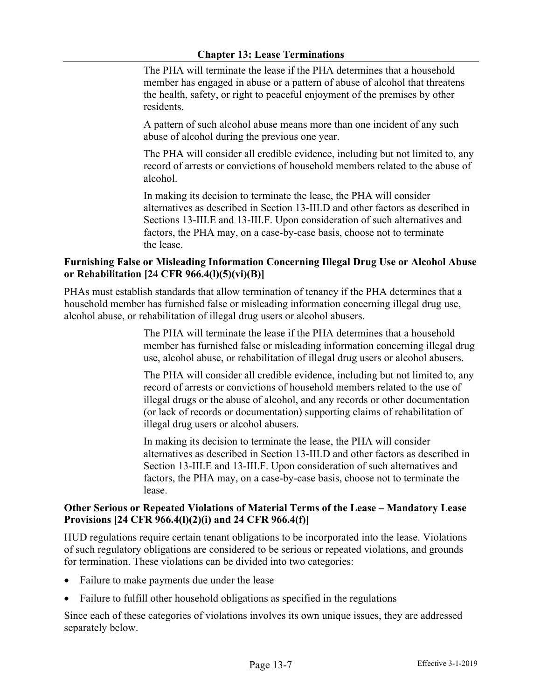The PHA will terminate the lease if the PHA determines that a household member has engaged in abuse or a pattern of abuse of alcohol that threatens the health, safety, or right to peaceful enjoyment of the premises by other residents.

A pattern of such alcohol abuse means more than one incident of any such abuse of alcohol during the previous one year.

The PHA will consider all credible evidence, including but not limited to, any record of arrests or convictions of household members related to the abuse of alcohol.

In making its decision to terminate the lease, the PHA will consider alternatives as described in Section 13-III.D and other factors as described in Sections 13-III.E and 13-III.F. Upon consideration of such alternatives and factors, the PHA may, on a case-by-case basis, choose not to terminate the lease.

### **Furnishing False or Misleading Information Concerning Illegal Drug Use or Alcohol Abuse or Rehabilitation [24 CFR 966.4(l)(5)(vi)(B)]**

PHAs must establish standards that allow termination of tenancy if the PHA determines that a household member has furnished false or misleading information concerning illegal drug use, alcohol abuse, or rehabilitation of illegal drug users or alcohol abusers.

> The PHA will terminate the lease if the PHA determines that a household member has furnished false or misleading information concerning illegal drug use, alcohol abuse, or rehabilitation of illegal drug users or alcohol abusers.

> The PHA will consider all credible evidence, including but not limited to, any record of arrests or convictions of household members related to the use of illegal drugs or the abuse of alcohol, and any records or other documentation (or lack of records or documentation) supporting claims of rehabilitation of illegal drug users or alcohol abusers.

> In making its decision to terminate the lease, the PHA will consider alternatives as described in Section 13-III.D and other factors as described in Section 13-III.E and 13-III.F. Upon consideration of such alternatives and factors, the PHA may, on a case-by-case basis, choose not to terminate the lease.

## **Other Serious or Repeated Violations of Material Terms of the Lease – Mandatory Lease Provisions [24 CFR 966.4(l)(2)(i) and 24 CFR 966.4(f)]**

HUD regulations require certain tenant obligations to be incorporated into the lease. Violations of such regulatory obligations are considered to be serious or repeated violations, and grounds for termination. These violations can be divided into two categories:

- Failure to make payments due under the lease
- Failure to fulfill other household obligations as specified in the regulations

Since each of these categories of violations involves its own unique issues, they are addressed separately below.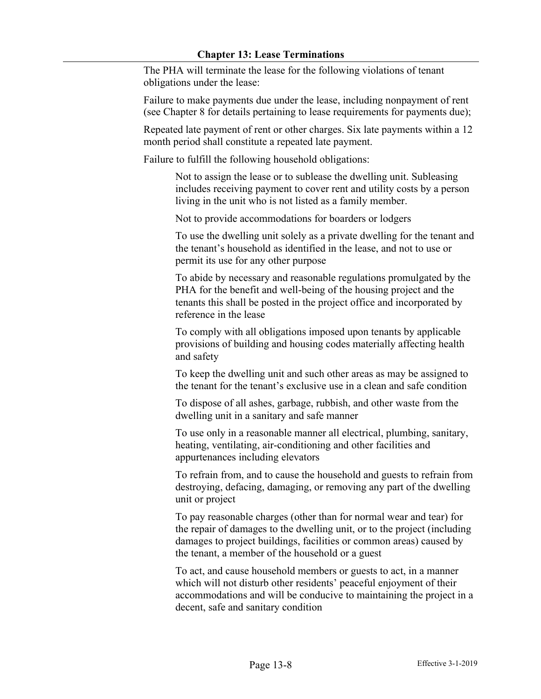The PHA will terminate the lease for the following violations of tenant obligations under the lease:

Failure to make payments due under the lease, including nonpayment of rent (see Chapter 8 for details pertaining to lease requirements for payments due);

Repeated late payment of rent or other charges. Six late payments within a 12 month period shall constitute a repeated late payment.

Failure to fulfill the following household obligations:

Not to assign the lease or to sublease the dwelling unit. Subleasing includes receiving payment to cover rent and utility costs by a person living in the unit who is not listed as a family member.

Not to provide accommodations for boarders or lodgers

To use the dwelling unit solely as a private dwelling for the tenant and the tenant's household as identified in the lease, and not to use or permit its use for any other purpose

To abide by necessary and reasonable regulations promulgated by the PHA for the benefit and well-being of the housing project and the tenants this shall be posted in the project office and incorporated by reference in the lease

To comply with all obligations imposed upon tenants by applicable provisions of building and housing codes materially affecting health and safety

To keep the dwelling unit and such other areas as may be assigned to the tenant for the tenant's exclusive use in a clean and safe condition

To dispose of all ashes, garbage, rubbish, and other waste from the dwelling unit in a sanitary and safe manner

To use only in a reasonable manner all electrical, plumbing, sanitary, heating, ventilating, air-conditioning and other facilities and appurtenances including elevators

To refrain from, and to cause the household and guests to refrain from destroying, defacing, damaging, or removing any part of the dwelling unit or project

To pay reasonable charges (other than for normal wear and tear) for the repair of damages to the dwelling unit, or to the project (including damages to project buildings, facilities or common areas) caused by the tenant, a member of the household or a guest

To act, and cause household members or guests to act, in a manner which will not disturb other residents' peaceful enjoyment of their accommodations and will be conducive to maintaining the project in a decent, safe and sanitary condition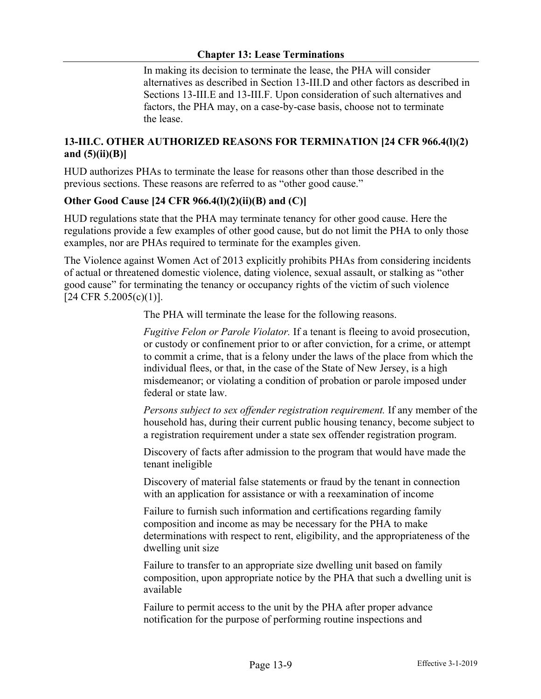In making its decision to terminate the lease, the PHA will consider alternatives as described in Section 13-III.D and other factors as described in Sections 13-III.E and 13-III.F. Upon consideration of such alternatives and factors, the PHA may, on a case-by-case basis, choose not to terminate the lease.

# **13-III.C. OTHER AUTHORIZED REASONS FOR TERMINATION [24 CFR 966.4(l)(2) and (5)(ii)(B)]**

HUD authorizes PHAs to terminate the lease for reasons other than those described in the previous sections. These reasons are referred to as "other good cause."

# **Other Good Cause [24 CFR 966.4(l)(2)(ii)(B) and (C)]**

HUD regulations state that the PHA may terminate tenancy for other good cause. Here the regulations provide a few examples of other good cause, but do not limit the PHA to only those examples, nor are PHAs required to terminate for the examples given.

The Violence against Women Act of 2013 explicitly prohibits PHAs from considering incidents of actual or threatened domestic violence, dating violence, sexual assault, or stalking as "other good cause" for terminating the tenancy or occupancy rights of the victim of such violence [24 CFR 5.2005(c)(1)].

The PHA will terminate the lease for the following reasons.

*Fugitive Felon or Parole Violator.* If a tenant is fleeing to avoid prosecution, or custody or confinement prior to or after conviction, for a crime, or attempt to commit a crime, that is a felony under the laws of the place from which the individual flees, or that, in the case of the State of New Jersey, is a high misdemeanor; or violating a condition of probation or parole imposed under federal or state law.

*Persons subject to sex offender registration requirement.* If any member of the household has, during their current public housing tenancy, become subject to a registration requirement under a state sex offender registration program.

Discovery of facts after admission to the program that would have made the tenant ineligible

Discovery of material false statements or fraud by the tenant in connection with an application for assistance or with a reexamination of income

Failure to furnish such information and certifications regarding family composition and income as may be necessary for the PHA to make determinations with respect to rent, eligibility, and the appropriateness of the dwelling unit size

Failure to transfer to an appropriate size dwelling unit based on family composition, upon appropriate notice by the PHA that such a dwelling unit is available

Failure to permit access to the unit by the PHA after proper advance notification for the purpose of performing routine inspections and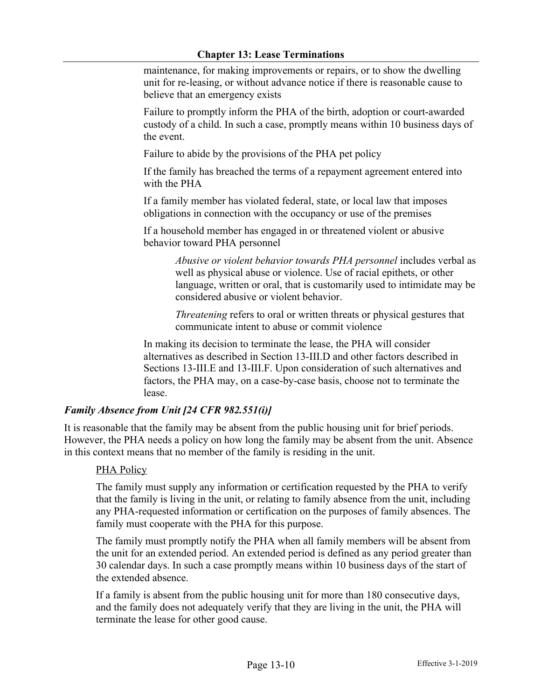maintenance, for making improvements or repairs, or to show the dwelling unit for re-leasing, or without advance notice if there is reasonable cause to believe that an emergency exists

Failure to promptly inform the PHA of the birth, adoption or court-awarded custody of a child. In such a case, promptly means within 10 business days of the event.

Failure to abide by the provisions of the PHA pet policy

If the family has breached the terms of a repayment agreement entered into with the PHA

If a family member has violated federal, state, or local law that imposes obligations in connection with the occupancy or use of the premises

If a household member has engaged in or threatened violent or abusive behavior toward PHA personnel

> *Abusive or violent behavior towards PHA personnel* includes verbal as well as physical abuse or violence. Use of racial epithets, or other language, written or oral, that is customarily used to intimidate may be considered abusive or violent behavior.

*Threatening* refers to oral or written threats or physical gestures that communicate intent to abuse or commit violence

In making its decision to terminate the lease, the PHA will consider alternatives as described in Section 13-III.D and other factors described in Sections 13-III.E and 13-III.F. Upon consideration of such alternatives and factors, the PHA may, on a case-by-case basis, choose not to terminate the lease.

## *Family Absence from Unit [24 CFR 982.551(i)]*

It is reasonable that the family may be absent from the public housing unit for brief periods. However, the PHA needs a policy on how long the family may be absent from the unit. Absence in this context means that no member of the family is residing in the unit.

## PHA Policy

The family must supply any information or certification requested by the PHA to verify that the family is living in the unit, or relating to family absence from the unit, including any PHA-requested information or certification on the purposes of family absences. The family must cooperate with the PHA for this purpose.

The family must promptly notify the PHA when all family members will be absent from the unit for an extended period. An extended period is defined as any period greater than 30 calendar days. In such a case promptly means within 10 business days of the start of the extended absence.

If a family is absent from the public housing unit for more than 180 consecutive days, and the family does not adequately verify that they are living in the unit, the PHA will terminate the lease for other good cause.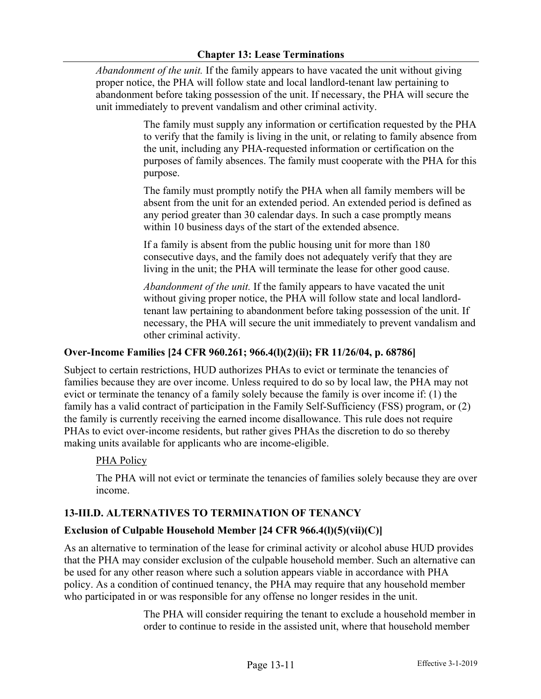*Abandonment of the unit.* If the family appears to have vacated the unit without giving proper notice, the PHA will follow state and local landlord-tenant law pertaining to abandonment before taking possession of the unit. If necessary, the PHA will secure the unit immediately to prevent vandalism and other criminal activity.

> The family must supply any information or certification requested by the PHA to verify that the family is living in the unit, or relating to family absence from the unit, including any PHA-requested information or certification on the purposes of family absences. The family must cooperate with the PHA for this purpose.

The family must promptly notify the PHA when all family members will be absent from the unit for an extended period. An extended period is defined as any period greater than 30 calendar days. In such a case promptly means within 10 business days of the start of the extended absence.

If a family is absent from the public housing unit for more than 180 consecutive days, and the family does not adequately verify that they are living in the unit; the PHA will terminate the lease for other good cause.

*Abandonment of the unit.* If the family appears to have vacated the unit without giving proper notice, the PHA will follow state and local landlordtenant law pertaining to abandonment before taking possession of the unit. If necessary, the PHA will secure the unit immediately to prevent vandalism and other criminal activity.

## **Over-Income Families [24 CFR 960.261; 966.4(l)(2)(ii); FR 11/26/04, p. 68786]**

Subject to certain restrictions, HUD authorizes PHAs to evict or terminate the tenancies of families because they are over income. Unless required to do so by local law, the PHA may not evict or terminate the tenancy of a family solely because the family is over income if: (1) the family has a valid contract of participation in the Family Self-Sufficiency (FSS) program, or (2) the family is currently receiving the earned income disallowance. This rule does not require PHAs to evict over-income residents, but rather gives PHAs the discretion to do so thereby making units available for applicants who are income-eligible.

## PHA Policy

The PHA will not evict or terminate the tenancies of families solely because they are over income.

## **13-III.D. ALTERNATIVES TO TERMINATION OF TENANCY**

## **Exclusion of Culpable Household Member [24 CFR 966.4(l)(5)(vii)(C)]**

As an alternative to termination of the lease for criminal activity or alcohol abuse HUD provides that the PHA may consider exclusion of the culpable household member. Such an alternative can be used for any other reason where such a solution appears viable in accordance with PHA policy. As a condition of continued tenancy, the PHA may require that any household member who participated in or was responsible for any offense no longer resides in the unit.

> The PHA will consider requiring the tenant to exclude a household member in order to continue to reside in the assisted unit, where that household member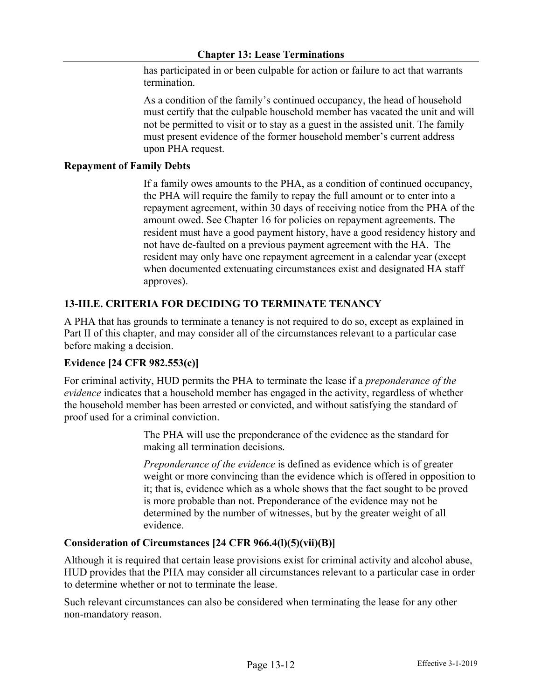has participated in or been culpable for action or failure to act that warrants termination.

As a condition of the family's continued occupancy, the head of household must certify that the culpable household member has vacated the unit and will not be permitted to visit or to stay as a guest in the assisted unit. The family must present evidence of the former household member's current address upon PHA request.

#### **Repayment of Family Debts**

If a family owes amounts to the PHA, as a condition of continued occupancy, the PHA will require the family to repay the full amount or to enter into a repayment agreement, within 30 days of receiving notice from the PHA of the amount owed. See Chapter 16 for policies on repayment agreements. The resident must have a good payment history, have a good residency history and not have de-faulted on a previous payment agreement with the HA. The resident may only have one repayment agreement in a calendar year (except when documented extenuating circumstances exist and designated HA staff approves).

# **13-III.E. CRITERIA FOR DECIDING TO TERMINATE TENANCY**

A PHA that has grounds to terminate a tenancy is not required to do so, except as explained in Part II of this chapter, and may consider all of the circumstances relevant to a particular case before making a decision.

## **Evidence [24 CFR 982.553(c)]**

For criminal activity, HUD permits the PHA to terminate the lease if a *preponderance of the evidence* indicates that a household member has engaged in the activity, regardless of whether the household member has been arrested or convicted, and without satisfying the standard of proof used for a criminal conviction.

> The PHA will use the preponderance of the evidence as the standard for making all termination decisions.

*Preponderance of the evidence* is defined as evidence which is of greater weight or more convincing than the evidence which is offered in opposition to it; that is, evidence which as a whole shows that the fact sought to be proved is more probable than not. Preponderance of the evidence may not be determined by the number of witnesses, but by the greater weight of all evidence.

## **Consideration of Circumstances [24 CFR 966.4(l)(5)(vii)(B)]**

Although it is required that certain lease provisions exist for criminal activity and alcohol abuse, HUD provides that the PHA may consider all circumstances relevant to a particular case in order to determine whether or not to terminate the lease.

Such relevant circumstances can also be considered when terminating the lease for any other non-mandatory reason.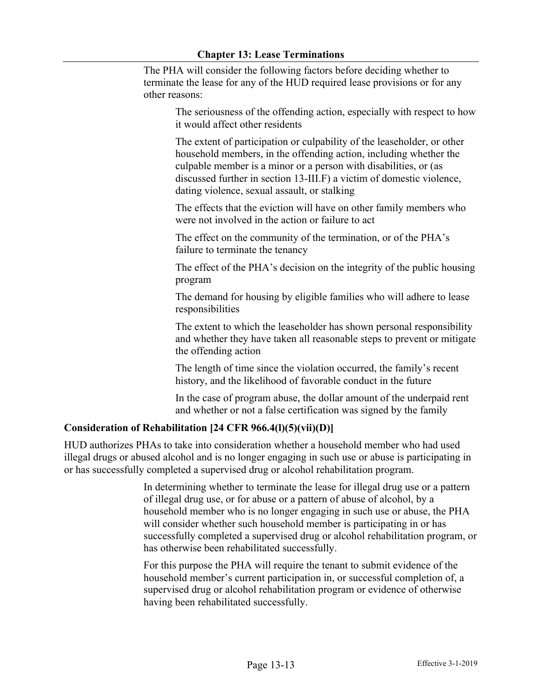The PHA will consider the following factors before deciding whether to terminate the lease for any of the HUD required lease provisions or for any other reasons:

The seriousness of the offending action, especially with respect to how it would affect other residents

The extent of participation or culpability of the leaseholder, or other household members, in the offending action, including whether the culpable member is a minor or a person with disabilities, or (as discussed further in section 13-III.F) a victim of domestic violence, dating violence, sexual assault, or stalking

The effects that the eviction will have on other family members who were not involved in the action or failure to act

The effect on the community of the termination, or of the PHA's failure to terminate the tenancy

The effect of the PHA's decision on the integrity of the public housing program

The demand for housing by eligible families who will adhere to lease responsibilities

The extent to which the leaseholder has shown personal responsibility and whether they have taken all reasonable steps to prevent or mitigate the offending action

The length of time since the violation occurred, the family's recent history, and the likelihood of favorable conduct in the future

In the case of program abuse, the dollar amount of the underpaid rent and whether or not a false certification was signed by the family

## **Consideration of Rehabilitation [24 CFR 966.4(l)(5)(vii)(D)]**

HUD authorizes PHAs to take into consideration whether a household member who had used illegal drugs or abused alcohol and is no longer engaging in such use or abuse is participating in or has successfully completed a supervised drug or alcohol rehabilitation program.

> In determining whether to terminate the lease for illegal drug use or a pattern of illegal drug use, or for abuse or a pattern of abuse of alcohol, by a household member who is no longer engaging in such use or abuse, the PHA will consider whether such household member is participating in or has successfully completed a supervised drug or alcohol rehabilitation program, or has otherwise been rehabilitated successfully.

For this purpose the PHA will require the tenant to submit evidence of the household member's current participation in, or successful completion of, a supervised drug or alcohol rehabilitation program or evidence of otherwise having been rehabilitated successfully.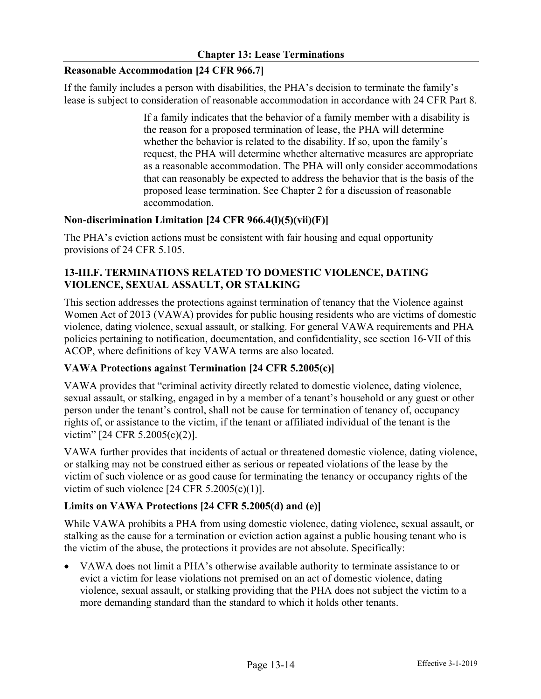## **Reasonable Accommodation [24 CFR 966.7]**

If the family includes a person with disabilities, the PHA's decision to terminate the family's lease is subject to consideration of reasonable accommodation in accordance with 24 CFR Part 8.

> If a family indicates that the behavior of a family member with a disability is the reason for a proposed termination of lease, the PHA will determine whether the behavior is related to the disability. If so, upon the family's request, the PHA will determine whether alternative measures are appropriate as a reasonable accommodation. The PHA will only consider accommodations that can reasonably be expected to address the behavior that is the basis of the proposed lease termination. See Chapter 2 for a discussion of reasonable accommodation.

#### **Non-discrimination Limitation [24 CFR 966.4(l)(5)(vii)(F)]**

The PHA's eviction actions must be consistent with fair housing and equal opportunity provisions of 24 CFR 5.105.

## **13-III.F. TERMINATIONS RELATED TO DOMESTIC VIOLENCE, DATING VIOLENCE, SEXUAL ASSAULT, OR STALKING**

This section addresses the protections against termination of tenancy that the Violence against Women Act of 2013 (VAWA) provides for public housing residents who are victims of domestic violence, dating violence, sexual assault, or stalking. For general VAWA requirements and PHA policies pertaining to notification, documentation, and confidentiality, see section 16-VII of this ACOP, where definitions of key VAWA terms are also located.

## **VAWA Protections against Termination [24 CFR 5.2005(c)]**

VAWA provides that "criminal activity directly related to domestic violence, dating violence, sexual assault, or stalking, engaged in by a member of a tenant's household or any guest or other person under the tenant's control, shall not be cause for termination of tenancy of, occupancy rights of, or assistance to the victim, if the tenant or affiliated individual of the tenant is the victim" [24 CFR 5.2005(c)(2)].

VAWA further provides that incidents of actual or threatened domestic violence, dating violence, or stalking may not be construed either as serious or repeated violations of the lease by the victim of such violence or as good cause for terminating the tenancy or occupancy rights of the victim of such violence  $[24 \text{ CFR } 5.2005(c)(1)].$ 

## **Limits on VAWA Protections [24 CFR 5.2005(d) and (e)]**

While VAWA prohibits a PHA from using domestic violence, dating violence, sexual assault, or stalking as the cause for a termination or eviction action against a public housing tenant who is the victim of the abuse, the protections it provides are not absolute. Specifically:

• VAWA does not limit a PHA's otherwise available authority to terminate assistance to or evict a victim for lease violations not premised on an act of domestic violence, dating violence, sexual assault, or stalking providing that the PHA does not subject the victim to a more demanding standard than the standard to which it holds other tenants.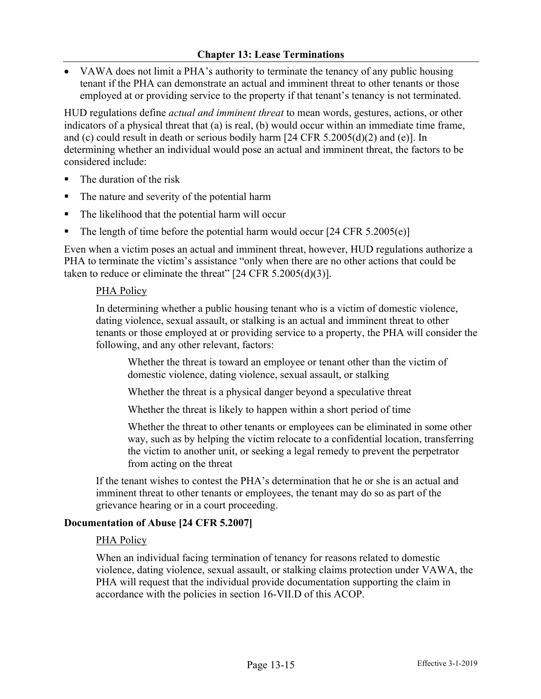• VAWA does not limit a PHA's authority to terminate the tenancy of any public housing tenant if the PHA can demonstrate an actual and imminent threat to other tenants or those employed at or providing service to the property if that tenant's tenancy is not terminated.

HUD regulations define *actual and imminent threat* to mean words, gestures, actions, or other indicators of a physical threat that (a) is real, (b) would occur within an immediate time frame, and (c) could result in death or serious bodily harm  $[24 \text{ CFR } 5.2005 \text{ (d)}(2)$  and (e)]. In determining whether an individual would pose an actual and imminent threat, the factors to be considered include:

- The duration of the risk
- The nature and severity of the potential harm
- The likelihood that the potential harm will occur
- The length of time before the potential harm would occur  $[24 \text{ CFR } 5.2005(e)]$

Even when a victim poses an actual and imminent threat, however, HUD regulations authorize a PHA to terminate the victim's assistance "only when there are no other actions that could be taken to reduce or eliminate the threat"  $[24 \text{ CFR } 5.2005 \text{ (d)}(3)]$ .

#### PHA Policy

In determining whether a public housing tenant who is a victim of domestic violence, dating violence, sexual assault, or stalking is an actual and imminent threat to other tenants or those employed at or providing service to a property, the PHA will consider the following, and any other relevant, factors:

Whether the threat is toward an employee or tenant other than the victim of domestic violence, dating violence, sexual assault, or stalking

Whether the threat is a physical danger beyond a speculative threat

Whether the threat is likely to happen within a short period of time

Whether the threat to other tenants or employees can be eliminated in some other way, such as by helping the victim relocate to a confidential location, transferring the victim to another unit, or seeking a legal remedy to prevent the perpetrator from acting on the threat

If the tenant wishes to contest the PHA's determination that he or she is an actual and imminent threat to other tenants or employees, the tenant may do so as part of the grievance hearing or in a court proceeding.

#### **Documentation of Abuse [24 CFR 5.2007]**

#### PHA Policy

When an individual facing termination of tenancy for reasons related to domestic violence, dating violence, sexual assault, or stalking claims protection under VAWA, the PHA will request that the individual provide documentation supporting the claim in accordance with the policies in section 16-VII.D of this ACOP.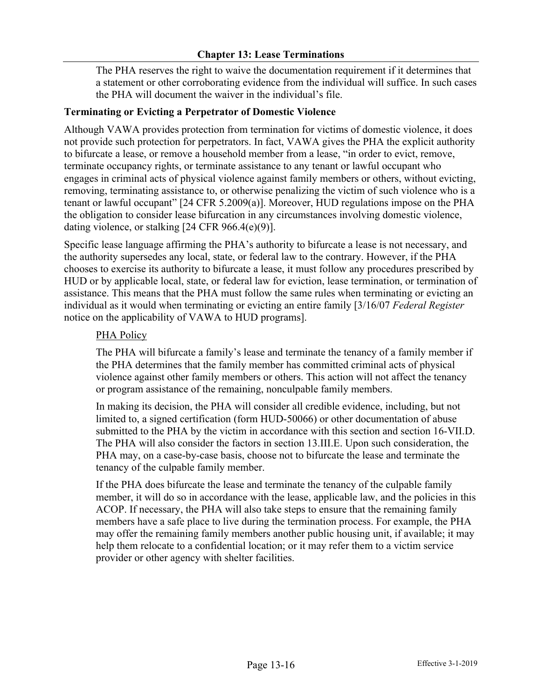The PHA reserves the right to waive the documentation requirement if it determines that a statement or other corroborating evidence from the individual will suffice. In such cases the PHA will document the waiver in the individual's file.

### **Terminating or Evicting a Perpetrator of Domestic Violence**

Although VAWA provides protection from termination for victims of domestic violence, it does not provide such protection for perpetrators. In fact, VAWA gives the PHA the explicit authority to bifurcate a lease, or remove a household member from a lease, "in order to evict, remove, terminate occupancy rights, or terminate assistance to any tenant or lawful occupant who engages in criminal acts of physical violence against family members or others, without evicting, removing, terminating assistance to, or otherwise penalizing the victim of such violence who is a tenant or lawful occupant" [24 CFR 5.2009(a)]. Moreover, HUD regulations impose on the PHA the obligation to consider lease bifurcation in any circumstances involving domestic violence, dating violence, or stalking [24 CFR 966.4(e)(9)].

Specific lease language affirming the PHA's authority to bifurcate a lease is not necessary, and the authority supersedes any local, state, or federal law to the contrary. However, if the PHA chooses to exercise its authority to bifurcate a lease, it must follow any procedures prescribed by HUD or by applicable local, state, or federal law for eviction, lease termination, or termination of assistance. This means that the PHA must follow the same rules when terminating or evicting an individual as it would when terminating or evicting an entire family [3/16/07 *Federal Register*  notice on the applicability of VAWA to HUD programs].

#### PHA Policy

The PHA will bifurcate a family's lease and terminate the tenancy of a family member if the PHA determines that the family member has committed criminal acts of physical violence against other family members or others. This action will not affect the tenancy or program assistance of the remaining, nonculpable family members.

In making its decision, the PHA will consider all credible evidence, including, but not limited to, a signed certification (form HUD-50066) or other documentation of abuse submitted to the PHA by the victim in accordance with this section and section 16-VII.D. The PHA will also consider the factors in section 13.III.E. Upon such consideration, the PHA may, on a case-by-case basis, choose not to bifurcate the lease and terminate the tenancy of the culpable family member.

If the PHA does bifurcate the lease and terminate the tenancy of the culpable family member, it will do so in accordance with the lease, applicable law, and the policies in this ACOP. If necessary, the PHA will also take steps to ensure that the remaining family members have a safe place to live during the termination process. For example, the PHA may offer the remaining family members another public housing unit, if available; it may help them relocate to a confidential location; or it may refer them to a victim service provider or other agency with shelter facilities.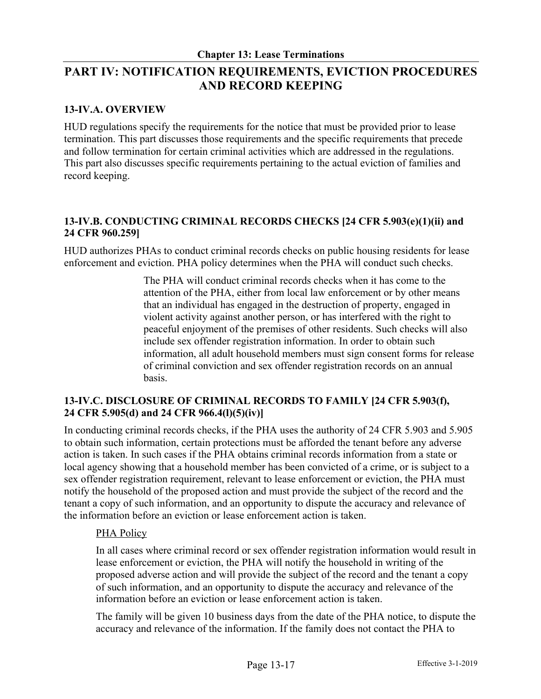# **PART IV: NOTIFICATION REQUIREMENTS, EVICTION PROCEDURES AND RECORD KEEPING**

# **13-IV.A. OVERVIEW**

HUD regulations specify the requirements for the notice that must be provided prior to lease termination. This part discusses those requirements and the specific requirements that precede and follow termination for certain criminal activities which are addressed in the regulations. This part also discusses specific requirements pertaining to the actual eviction of families and record keeping.

# **13-IV.B. CONDUCTING CRIMINAL RECORDS CHECKS [24 CFR 5.903(e)(1)(ii) and 24 CFR 960.259]**

HUD authorizes PHAs to conduct criminal records checks on public housing residents for lease enforcement and eviction. PHA policy determines when the PHA will conduct such checks.

> The PHA will conduct criminal records checks when it has come to the attention of the PHA, either from local law enforcement or by other means that an individual has engaged in the destruction of property, engaged in violent activity against another person, or has interfered with the right to peaceful enjoyment of the premises of other residents. Such checks will also include sex offender registration information. In order to obtain such information, all adult household members must sign consent forms for release of criminal conviction and sex offender registration records on an annual basis.

# **13-IV.C. DISCLOSURE OF CRIMINAL RECORDS TO FAMILY [24 CFR 5.903(f), 24 CFR 5.905(d) and 24 CFR 966.4(l)(5)(iv)]**

In conducting criminal records checks, if the PHA uses the authority of 24 CFR 5.903 and 5.905 to obtain such information, certain protections must be afforded the tenant before any adverse action is taken. In such cases if the PHA obtains criminal records information from a state or local agency showing that a household member has been convicted of a crime, or is subject to a sex offender registration requirement, relevant to lease enforcement or eviction, the PHA must notify the household of the proposed action and must provide the subject of the record and the tenant a copy of such information, and an opportunity to dispute the accuracy and relevance of the information before an eviction or lease enforcement action is taken.

## PHA Policy

In all cases where criminal record or sex offender registration information would result in lease enforcement or eviction, the PHA will notify the household in writing of the proposed adverse action and will provide the subject of the record and the tenant a copy of such information, and an opportunity to dispute the accuracy and relevance of the information before an eviction or lease enforcement action is taken.

The family will be given 10 business days from the date of the PHA notice, to dispute the accuracy and relevance of the information. If the family does not contact the PHA to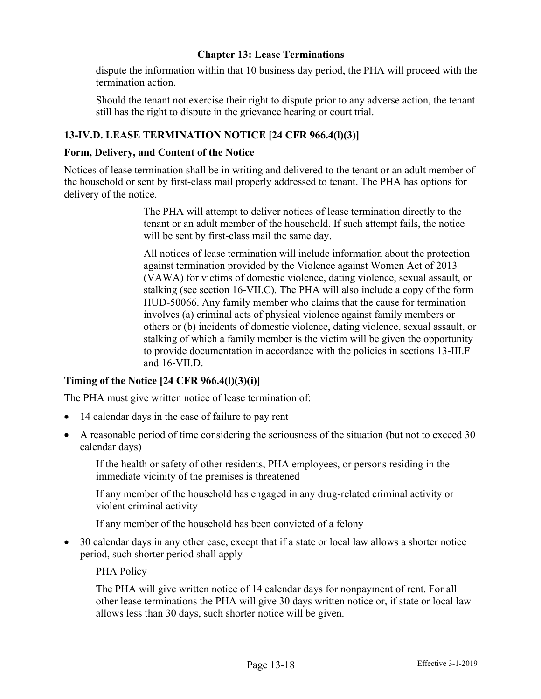dispute the information within that 10 business day period, the PHA will proceed with the termination action.

Should the tenant not exercise their right to dispute prior to any adverse action, the tenant still has the right to dispute in the grievance hearing or court trial.

## **13-IV.D. LEASE TERMINATION NOTICE [24 CFR 966.4(l)(3)]**

#### **Form, Delivery, and Content of the Notice**

Notices of lease termination shall be in writing and delivered to the tenant or an adult member of the household or sent by first-class mail properly addressed to tenant. The PHA has options for delivery of the notice.

> The PHA will attempt to deliver notices of lease termination directly to the tenant or an adult member of the household. If such attempt fails, the notice will be sent by first-class mail the same day.

All notices of lease termination will include information about the protection against termination provided by the Violence against Women Act of 2013 (VAWA) for victims of domestic violence, dating violence, sexual assault, or stalking (see section 16-VII.C). The PHA will also include a copy of the form HUD-50066. Any family member who claims that the cause for termination involves (a) criminal acts of physical violence against family members or others or (b) incidents of domestic violence, dating violence, sexual assault, or stalking of which a family member is the victim will be given the opportunity to provide documentation in accordance with the policies in sections 13-III.F and 16-VII.D.

#### **Timing of the Notice [24 CFR 966.4(l)(3)(i)]**

The PHA must give written notice of lease termination of:

- 14 calendar days in the case of failure to pay rent
- A reasonable period of time considering the seriousness of the situation (but not to exceed 30 calendar days)

If the health or safety of other residents, PHA employees, or persons residing in the immediate vicinity of the premises is threatened

If any member of the household has engaged in any drug-related criminal activity or violent criminal activity

If any member of the household has been convicted of a felony

• 30 calendar days in any other case, except that if a state or local law allows a shorter notice period, such shorter period shall apply

#### PHA Policy

The PHA will give written notice of 14 calendar days for nonpayment of rent. For all other lease terminations the PHA will give 30 days written notice or, if state or local law allows less than 30 days, such shorter notice will be given.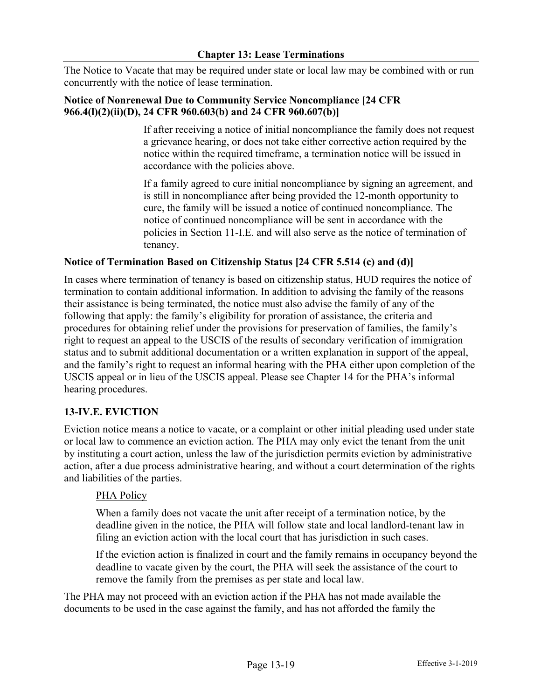The Notice to Vacate that may be required under state or local law may be combined with or run concurrently with the notice of lease termination.

## **Notice of Nonrenewal Due to Community Service Noncompliance [24 CFR 966.4(l)(2)(ii)(D), 24 CFR 960.603(b) and 24 CFR 960.607(b)]**

If after receiving a notice of initial noncompliance the family does not request a grievance hearing, or does not take either corrective action required by the notice within the required timeframe, a termination notice will be issued in accordance with the policies above.

If a family agreed to cure initial noncompliance by signing an agreement, and is still in noncompliance after being provided the 12-month opportunity to cure, the family will be issued a notice of continued noncompliance. The notice of continued noncompliance will be sent in accordance with the policies in Section 11-I.E. and will also serve as the notice of termination of tenancy.

# **Notice of Termination Based on Citizenship Status [24 CFR 5.514 (c) and (d)]**

In cases where termination of tenancy is based on citizenship status, HUD requires the notice of termination to contain additional information. In addition to advising the family of the reasons their assistance is being terminated, the notice must also advise the family of any of the following that apply: the family's eligibility for proration of assistance, the criteria and procedures for obtaining relief under the provisions for preservation of families, the family's right to request an appeal to the USCIS of the results of secondary verification of immigration status and to submit additional documentation or a written explanation in support of the appeal, and the family's right to request an informal hearing with the PHA either upon completion of the USCIS appeal or in lieu of the USCIS appeal. Please see Chapter 14 for the PHA's informal hearing procedures.

## **13-IV.E. EVICTION**

Eviction notice means a notice to vacate, or a complaint or other initial pleading used under state or local law to commence an eviction action. The PHA may only evict the tenant from the unit by instituting a court action, unless the law of the jurisdiction permits eviction by administrative action, after a due process administrative hearing, and without a court determination of the rights and liabilities of the parties.

## PHA Policy

When a family does not vacate the unit after receipt of a termination notice, by the deadline given in the notice, the PHA will follow state and local landlord-tenant law in filing an eviction action with the local court that has jurisdiction in such cases.

If the eviction action is finalized in court and the family remains in occupancy beyond the deadline to vacate given by the court, the PHA will seek the assistance of the court to remove the family from the premises as per state and local law.

The PHA may not proceed with an eviction action if the PHA has not made available the documents to be used in the case against the family, and has not afforded the family the